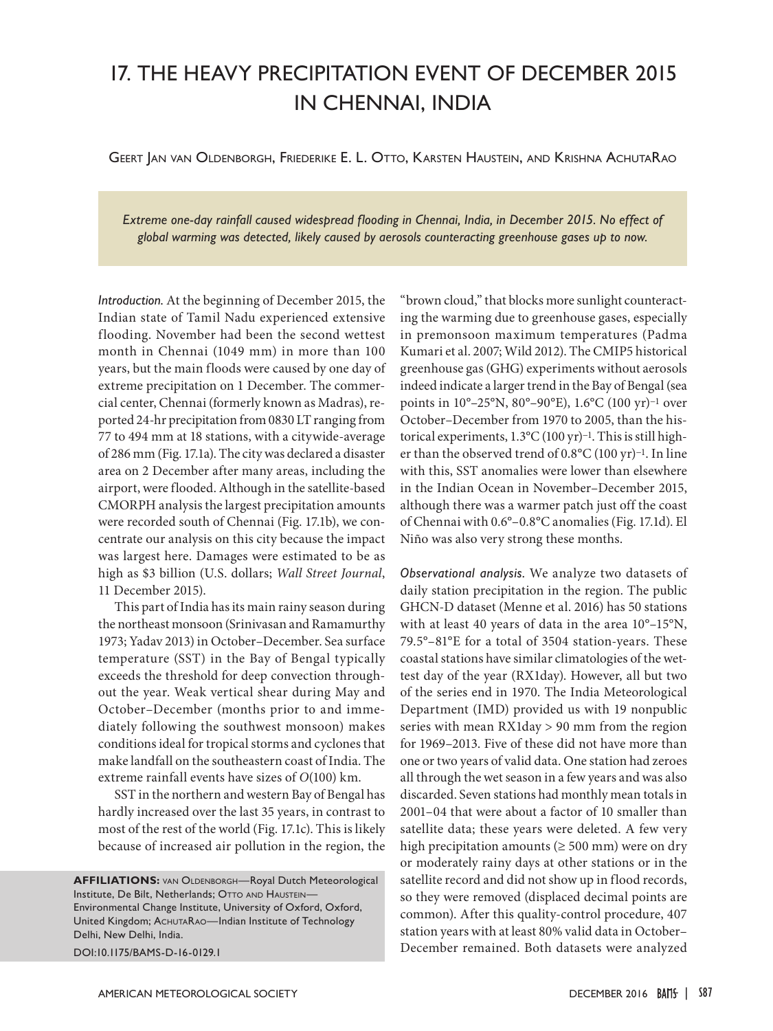## 17. THE HEAVY PRECIPITATION EVENT OF DECEMBER 2015 IN CHENNAI, INDIA

Geert Jan van Oldenborgh, Friederike E. L. Otto, Karsten Haustein, and Krishna AchutaRao

*Extreme one-day rainfall caused widespread flooding in Chennai, India, in December 2015. No effect of global warming was detected, likely caused by aerosols counteracting greenhouse gases up to now.* 

*Introduction.* At the beginning of December 2015, the Indian state of Tamil Nadu experienced extensive flooding. November had been the second wettest month in Chennai (1049 mm) in more than 100 years, but the main floods were caused by one day of extreme precipitation on 1 December. The commercial center, Chennai (formerly known as Madras), reported 24-hr precipitation from 0830 LT ranging from 77 to 494 mm at 18 stations, with a citywide-average of 286 mm (Fig. 17.1a). The city was declared a disaster area on 2 December after many areas, including the airport, were flooded. Although in the satellite-based CMORPH analysis the largest precipitation amounts were recorded south of Chennai (Fig. 17.1b), we concentrate our analysis on this city because the impact was largest here. Damages were estimated to be as high as \$3 billion (U.S. dollars; *Wall Street Journal*, 11 December 2015).

This part of India has its main rainy season during the northeast monsoon (Srinivasan and Ramamurthy 1973; Yadav 2013) in October–December. Sea surface temperature (SST) in the Bay of Bengal typically exceeds the threshold for deep convection throughout the year. Weak vertical shear during May and October–December (months prior to and immediately following the southwest monsoon) makes conditions ideal for tropical storms and cyclones that make landfall on the southeastern coast of India. The extreme rainfall events have sizes of *O*(100) km.

SST in the northern and western Bay of Bengal has hardly increased over the last 35 years, in contrast to most of the rest of the world (Fig. 17.1c). This is likely because of increased air pollution in the region, the

**AFFILIATIONS:** van Oldenborgh—Royal Dutch Meteorological Institute, De Bilt, Netherlands; OTTO AND HAUSTEIN-Environmental Change Institute, University of Oxford, Oxford, United Kingdom; ACHUTARAO—Indian Institute of Technology Delhi, New Delhi, India. DOI:10.1175/BAMS-D-16-0129.1

"brown cloud," that blocks more sunlight counteracting the warming due to greenhouse gases, especially in premonsoon maximum temperatures (Padma Kumari et al. 2007; Wild 2012). The CMIP5 historical greenhouse gas (GHG) experiments without aerosols indeed indicate a larger trend in the Bay of Bengal (sea points in 10°–25°N, 80°–90°E), 1.6°C (100 yr)−1 over October–December from 1970 to 2005, than the historical experiments, 1.3°C (100 yr)−1. This is still higher than the observed trend of 0.8°C (100 yr)−1. In line with this, SST anomalies were lower than elsewhere in the Indian Ocean in November–December 2015, although there was a warmer patch just off the coast of Chennai with 0.6°–0.8°C anomalies (Fig. 17.1d). El Niño was also very strong these months.

*Observational analysis.* We analyze two datasets of daily station precipitation in the region. The public GHCN-D dataset (Menne et al. 2016) has 50 stations with at least 40 years of data in the area 10°–15°N, 79.5°–81°E for a total of 3504 station-years. These coastal stations have similar climatologies of the wettest day of the year (RX1day). However, all but two of the series end in 1970. The India Meteorological Department (IMD) provided us with 19 nonpublic series with mean RX1day > 90 mm from the region for 1969–2013. Five of these did not have more than one or two years of valid data. One station had zeroes all through the wet season in a few years and was also discarded. Seven stations had monthly mean totals in 2001–04 that were about a factor of 10 smaller than satellite data; these years were deleted. A few very high precipitation amounts ( $\geq 500$  mm) were on dry or moderately rainy days at other stations or in the satellite record and did not show up in flood records, so they were removed (displaced decimal points are common). After this quality-control procedure, 407 station years with at least 80% valid data in October– December remained. Both datasets were analyzed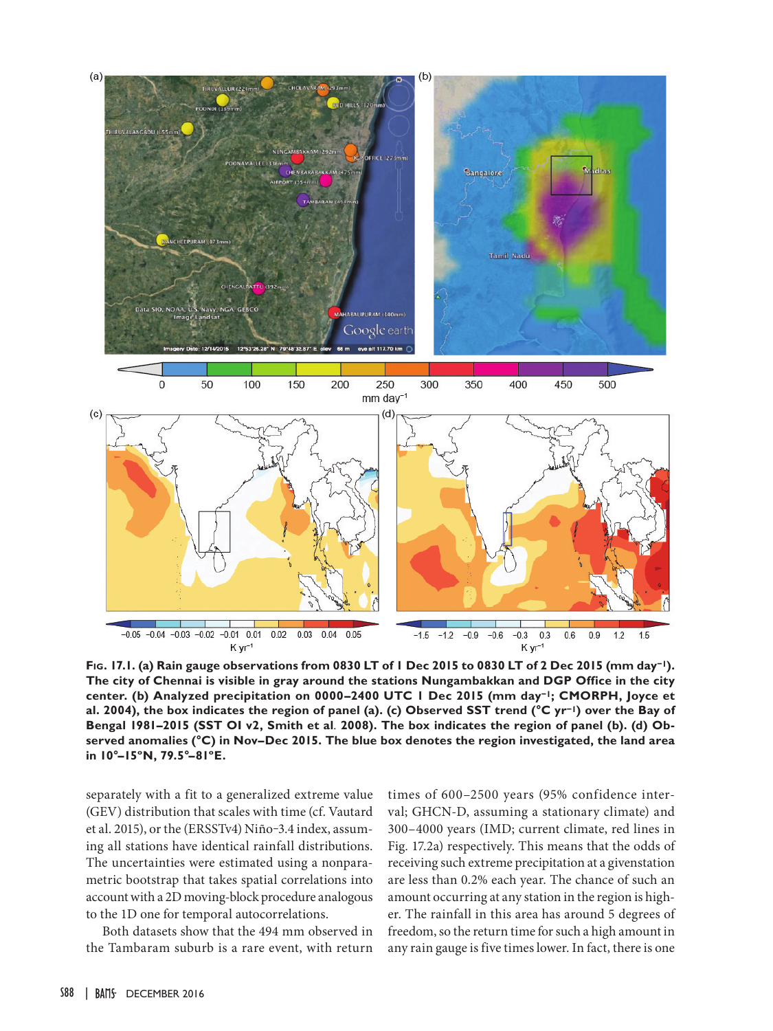

**Fig. 17.1. (a) Rain gauge observations from 0830 LT of 1 Dec 2015 to 0830 LT of 2 Dec 2015 (mm day−1). The city of Chennai is visible in gray around the stations Nungambakkan and DGP Office in the city center. (b) Analyzed precipitation on 0000–2400 UTC 1 Dec 2015 (mm day−1; CMORPH, Joyce et al. 2004), the box indicates the region of panel (a). (c) Observed SST trend (°C yr−1) over the Bay of Bengal 1981–2015 (SST OI v2, Smith et al***.* **2008). The box indicates the region of panel (b). (d) Observed anomalies (°C) in Nov–Dec 2015. The blue box denotes the region investigated, the land area in 10°–15ºN, 79.5°–81ºE.**

separately with a fit to a generalized extreme value (GEV) distribution that scales with time (cf. Vautard et al. 2015), or the (ERSSTv4) Niño-3.4 index, assuming all stations have identical rainfall distributions. The uncertainties were estimated using a nonparametric bootstrap that takes spatial correlations into account with a 2D moving-block procedure analogous to the 1D one for temporal autocorrelations.

Both datasets show that the 494 mm observed in the Tambaram suburb is a rare event, with return

times of 600–2500 years (95% confidence interval; GHCN-D, assuming a stationary climate) and 300–4000 years (IMD; current climate, red lines in Fig. 17.2a) respectively. This means that the odds of receiving such extreme precipitation at a givenstation are less than 0.2% each year. The chance of such an amount occurring at any station in the region is higher. The rainfall in this area has around 5 degrees of freedom, so the return time for such a high amount in any rain gauge is five times lower. In fact, there is one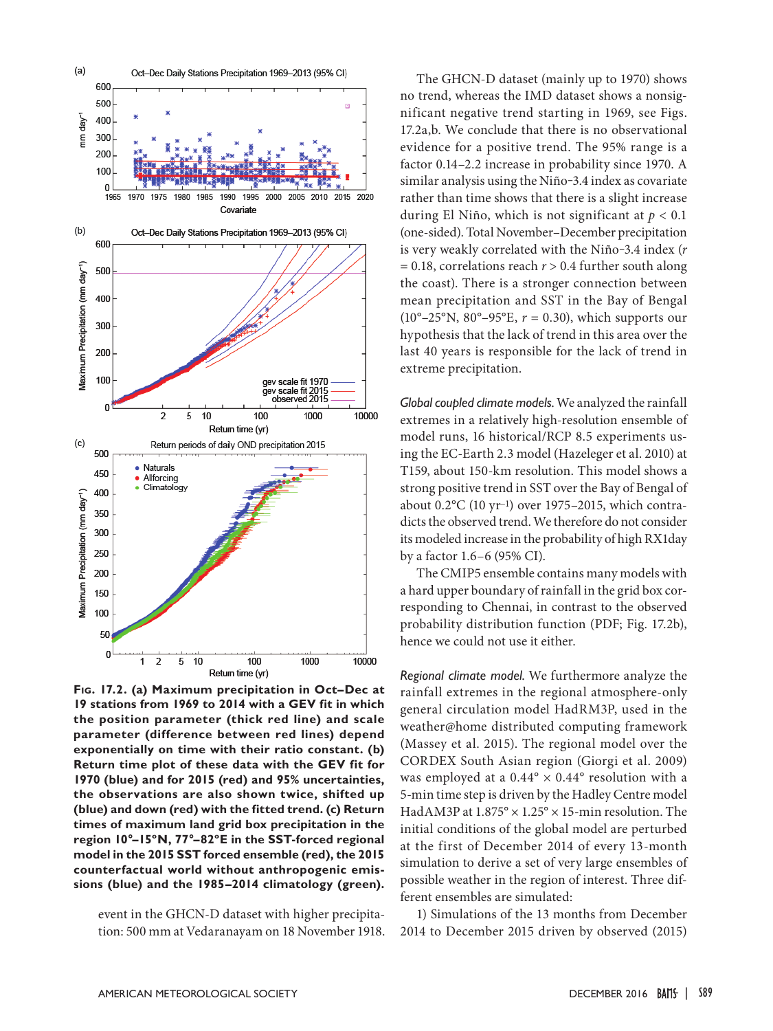

**Fig. 17.2. (a) Maximum precipitation in Oct–Dec at 19 stations from 1969 to 2014 with a GEV fit in which the position parameter (thick red line) and scale parameter (difference between red lines) depend exponentially on time with their ratio constant. (b) Return time plot of these data with the GEV fit for 1970 (blue) and for 2015 (red) and 95% uncertainties, the observations are also shown twice, shifted up (blue) and down (red) with the fitted trend. (c) Return times of maximum land grid box precipitation in the region 10°–15ºN, 77°–82ºE in the SST-forced regional model in the 2015 SST forced ensemble (red), the 2015 counterfactual world without anthropogenic emissions (blue) and the 1985–2014 climatology (green).** 

event in the GHCN-D dataset with higher precipitation: 500 mm at Vedaranayam on 18 November 1918.

The GHCN-D dataset (mainly up to 1970) shows no trend, whereas the IMD dataset shows a nonsignificant negative trend starting in 1969, see Figs. 17.2a,b. We conclude that there is no observational evidence for a positive trend. The 95% range is a factor 0.14–2.2 increase in probability since 1970. A similar analysis using the Niño-3.4 index as covariate rather than time shows that there is a slight increase during El Niño, which is not significant at *p* < 0.1 (one-sided). Total November–December precipitation is very weakly correlated with the Niño-3.4 index ( $r$ = 0.18, correlations reach *r* > 0.4 further south along the coast). There is a stronger connection between mean precipitation and SST in the Bay of Bengal (10°–25°N, 80°–95°E, *r* = 0.30), which supports our hypothesis that the lack of trend in this area over the last 40 years is responsible for the lack of trend in extreme precipitation.

*Global coupled climate models.*We analyzed the rainfall extremes in a relatively high-resolution ensemble of model runs, 16 historical/RCP 8.5 experiments using the EC-Earth 2.3 model (Hazeleger et al. 2010) at T159, about 150-km resolution. This model shows a strong positive trend in SST over the Bay of Bengal of about 0.2°C (10 yr−1) over 1975–2015, which contradicts the observed trend. We therefore do not consider its modeled increase in the probability of high RX1day by a factor 1.6–6 (95% CI).

The CMIP5 ensemble contains many models with a hard upper boundary of rainfall in the grid box corresponding to Chennai, in contrast to the observed probability distribution function (PDF; Fig. 17.2b), hence we could not use it either.

*Regional climate model.* We furthermore analyze the rainfall extremes in the regional atmosphere-only general circulation model HadRM3P, used in the weather@home distributed computing framework (Massey et al. 2015). The regional model over the CORDEX South Asian region (Giorgi et al. 2009) was employed at a  $0.44^{\circ} \times 0.44^{\circ}$  resolution with a 5-min time step is driven by the Hadley Centre model HadAM3P at 1.875° × 1.25° × 15-min resolution. The initial conditions of the global model are perturbed at the first of December 2014 of every 13-month simulation to derive a set of very large ensembles of possible weather in the region of interest. Three different ensembles are simulated:

1) Simulations of the 13 months from December 2014 to December 2015 driven by observed (2015)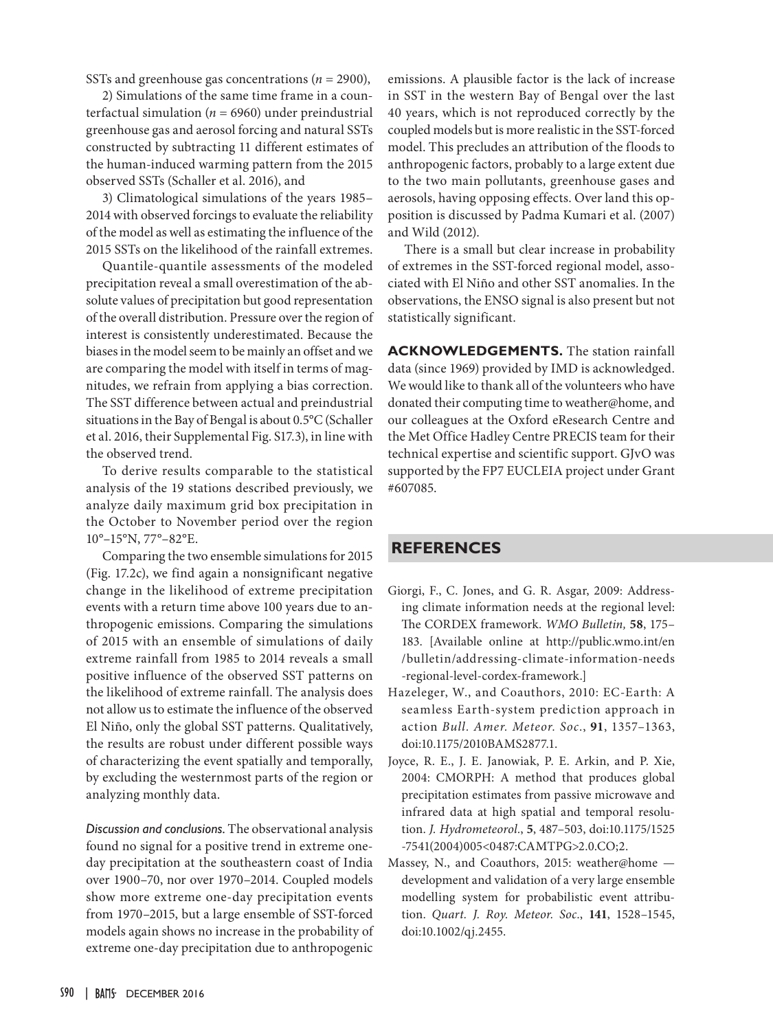SSTs and greenhouse gas concentrations (*n* = 2900),

2) Simulations of the same time frame in a counterfactual simulation ( $n = 6960$ ) under preindustrial greenhouse gas and aerosol forcing and natural SSTs constructed by subtracting 11 different estimates of the human-induced warming pattern from the 2015 observed SSTs (Schaller et al. 2016), and

3) Climatological simulations of the years 1985– 2014 with observed forcings to evaluate the reliability of the model as well as estimating the influence of the 2015 SSTs on the likelihood of the rainfall extremes.

Quantile-quantile assessments of the modeled precipitation reveal a small overestimation of the absolute values of precipitation but good representation of the overall distribution. Pressure over the region of interest is consistently underestimated. Because the biases in the model seem to be mainly an offset and we are comparing the model with itself in terms of magnitudes, we refrain from applying a bias correction. The SST difference between actual and preindustrial situations in the Bay of Bengal is about 0.5°C (Schaller et al. 2016, their Supplemental Fig. S17.3), in line with the observed trend.

To derive results comparable to the statistical analysis of the 19 stations described previously, we analyze daily maximum grid box precipitation in the October to November period over the region 10°–15°N, 77°–82°E.

Comparing the two ensemble simulations for 2015 (Fig. 17.2c), we find again a nonsignificant negative change in the likelihood of extreme precipitation events with a return time above 100 years due to anthropogenic emissions. Comparing the simulations of 2015 with an ensemble of simulations of daily extreme rainfall from 1985 to 2014 reveals a small positive influence of the observed SST patterns on the likelihood of extreme rainfall. The analysis does not allow us to estimate the influence of the observed El Niño, only the global SST patterns. Qualitatively, the results are robust under different possible ways of characterizing the event spatially and temporally, by excluding the westernmost parts of the region or analyzing monthly data.

*Discussion and conclusions.* The observational analysis found no signal for a positive trend in extreme oneday precipitation at the southeastern coast of India over 1900–70, nor over 1970–2014. Coupled models show more extreme one-day precipitation events from 1970–2015, but a large ensemble of SST-forced models again shows no increase in the probability of extreme one-day precipitation due to anthropogenic

emissions. A plausible factor is the lack of increase in SST in the western Bay of Bengal over the last 40 years, which is not reproduced correctly by the coupled models but is more realistic in the SST-forced model. This precludes an attribution of the floods to anthropogenic factors, probably to a large extent due to the two main pollutants, greenhouse gases and aerosols, having opposing effects. Over land this opposition is discussed by Padma Kumari et al. (2007) and Wild (2012).

There is a small but clear increase in probability of extremes in the SST-forced regional model, associated with El Niño and other SST anomalies. In the observations, the ENSO signal is also present but not statistically significant.

**ACKNOWLEDGEMENTS.** The station rainfall data (since 1969) provided by IMD is acknowledged. We would like to thank all of the volunteers who have donated their computing time to weather@home, and our colleagues at the Oxford eResearch Centre and the Met Office Hadley Centre PRECIS team for their technical expertise and scientific support. GJvO was supported by the FP7 EUCLEIA project under Grant #607085.

## **REFERENCES**

- Giorgi, F., C. Jones, and G. R. Asgar, 2009: Addressing climate information needs at the regional level: The CORDEX framework. *WMO Bulletin,* **58**, 175– 183. [Available online at http://public.wmo.int/en /bulletin/addressing-climate-information-needs -regional-level-cordex-framework.]
- Hazeleger, W., and Coauthors, 2010: EC-Earth: A seamless Earth-system prediction approach in action *Bull. Amer. Meteor. Soc*., **91**, 1357–1363, doi:10.1175/2010BAMS2877.1.
- Joyce, R. E., J. E. Janowiak, P. E. Arkin, and P. Xie, 2004: CMORPH: A method that produces global precipitation estimates from passive microwave and infrared data at high spatial and temporal resolution. *J. Hydrometeorol.*, **5**, 487–503, doi:10.1175/1525 -7541(2004)005<0487:CAMTPG>2.0.CO;2.
- Massey, N., and Coauthors, 2015: weather@home development and validation of a very large ensemble modelling system for probabilistic event attribution. *Quart. J. Roy. Meteor. Soc.*, **141**, 1528–1545, doi:10.1002/qj.2455.